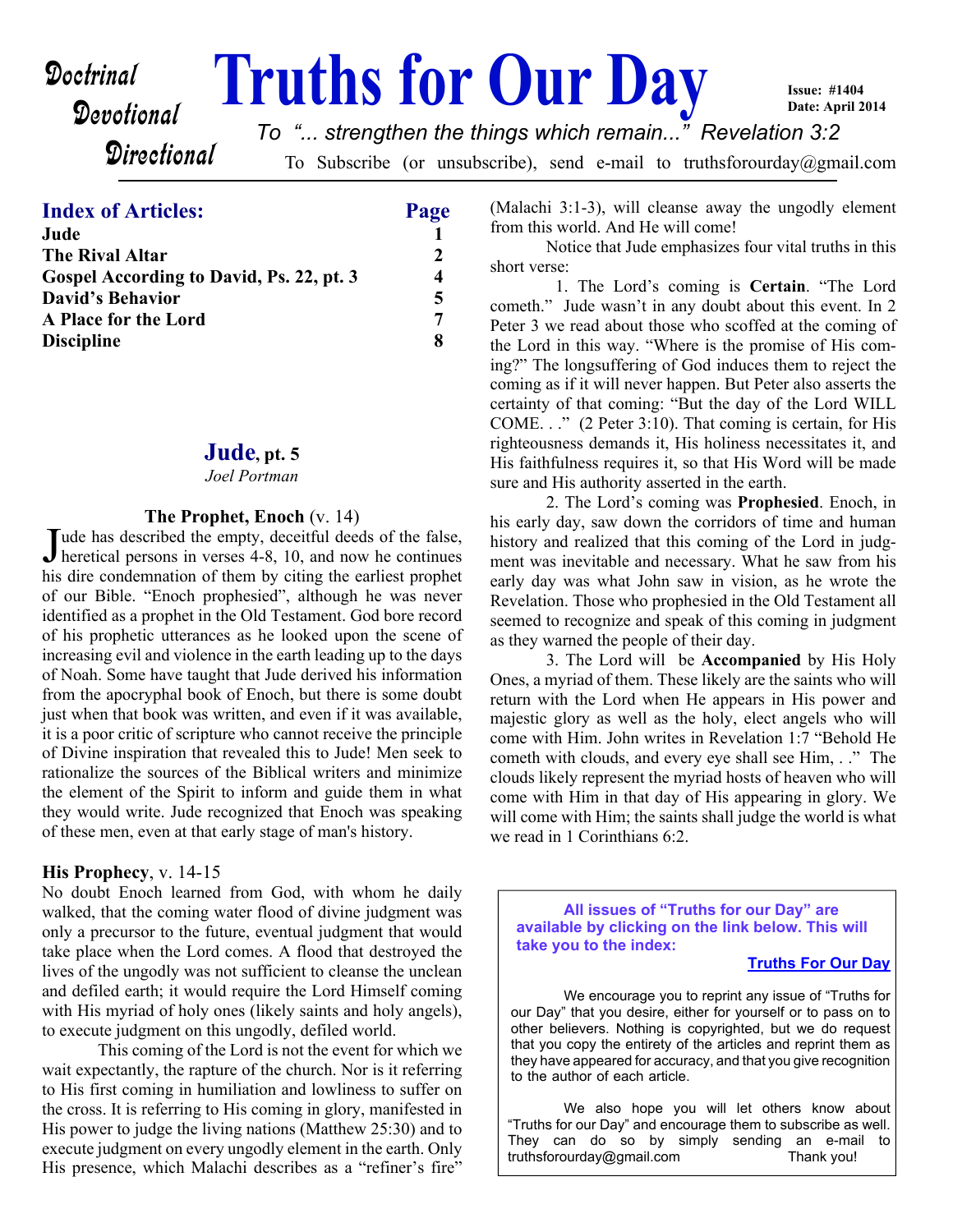# Devotional

**Doctrinal Truths for Our Day** 

**Issue: #1404 Date: April 2014**

**Directional** 

To Subscribe (or unsubscribe), send e-mail to truthsforourday@gmail.com *To "... strengthen the things which remain..." Revelation 3:2*

## **Index of Articles: Page**

| Jude                                     |                |
|------------------------------------------|----------------|
| <b>The Rival Altar</b>                   | $\mathfrak{D}$ |
| Gospel According to David, Ps. 22, pt. 3 | 4              |
| <b>David's Behavior</b>                  | 5              |
| A Place for the Lord                     | 7              |
| <b>Discipline</b>                        | 8              |

#### **Jude, pt. 5**

#### *Joel Portman*

#### **The Prophet, Enoch** (v. 14)

Jude has described the empty, deceitful deeds of the false,<br>heretical persons in verses 4-8, 10, and now he continues Tude has described the empty, deceitful deeds of the false, his dire condemnation of them by citing the earliest prophet of our Bible. "Enoch prophesied", although he was never identified as a prophet in the Old Testament. God bore record of his prophetic utterances as he looked upon the scene of increasing evil and violence in the earth leading up to the days of Noah. Some have taught that Jude derived his information from the apocryphal book of Enoch, but there is some doubt just when that book was written, and even if it was available. it is a poor critic of scripture who cannot receive the principle of Divine inspiration that revealed this to Jude! Men seek to rationalize the sources of the Biblical writers and minimize the element of the Spirit to inform and guide them in what they would write. Jude recognized that Enoch was speaking of these men, even at that early stage of man's history.

#### **His Prophecy**, v. 14-15

No doubt Enoch learned from God, with whom he daily walked, that the coming water flood of divine judgment was only a precursor to the future, eventual judgment that would take place when the Lord comes. A flood that destroyed the lives of the ungodly was not sufficient to cleanse the unclean and defiled earth; it would require the Lord Himself coming with His myriad of holy ones (likely saints and holy angels), to execute judgment on this ungodly, defiled world.

 This coming of the Lord is not the event for which we wait expectantly, the rapture of the church. Nor is it referring to His first coming in humiliation and lowliness to suffer on the cross. It is referring to His coming in glory, manifested in His power to judge the living nations (Matthew 25:30) and to execute judgment on every ungodly element in the earth. Only His presence, which Malachi describes as a "refiner's fire"

(Malachi 3:1-3), will cleanse away the ungodly element from this world. And He will come!

 Notice that Jude emphasizes four vital truths in this short verse:

 1. The Lord's coming is **Certain**. "The Lord cometh." Jude wasn't in any doubt about this event. In 2 Peter 3 we read about those who scoffed at the coming of the Lord in this way. "Where is the promise of His coming?" The longsuffering of God induces them to reject the coming as if it will never happen. But Peter also asserts the certainty of that coming: "But the day of the Lord WILL COME. . ." (2 Peter 3:10). That coming is certain, for His righteousness demands it, His holiness necessitates it, and His faithfulness requires it, so that His Word will be made sure and His authority asserted in the earth.

 2. The Lord's coming was **Prophesied**. Enoch, in his early day, saw down the corridors of time and human history and realized that this coming of the Lord in judgment was inevitable and necessary. What he saw from his early day was what John saw in vision, as he wrote the Revelation. Those who prophesied in the Old Testament all seemed to recognize and speak of this coming in judgment as they warned the people of their day.

 3. The Lord will be **Accompanied** by His Holy Ones, a myriad of them. These likely are the saints who will return with the Lord when He appears in His power and majestic glory as well as the holy, elect angels who will come with Him. John writes in Revelation 1:7 "Behold He cometh with clouds, and every eye shall see Him, . ." The clouds likely represent the myriad hosts of heaven who will come with Him in that day of His appearing in glory. We will come with Him; the saints shall judge the world is what we read in 1 Corinthians 6:2.

**All issues of "Truths for our Day" are available by clicking on the link below. This will take you to the index:**

#### **[Truths For Our Day](http://truthsforouurday.com)**

 We encourage you to reprint any issue of "Truths for our Day" that you desire, either for yourself or to pass on to other believers. Nothing is copyrighted, but we do request that you copy the entirety of the articles and reprint them as they have appeared for accuracy, and that you give recognition to the author of each article.

 We also hope you will let others know about "Truths for our Day" and encourage them to subscribe as well. They can do so by simply sending an e-mail to truthsforourday@gmail.com Thank you!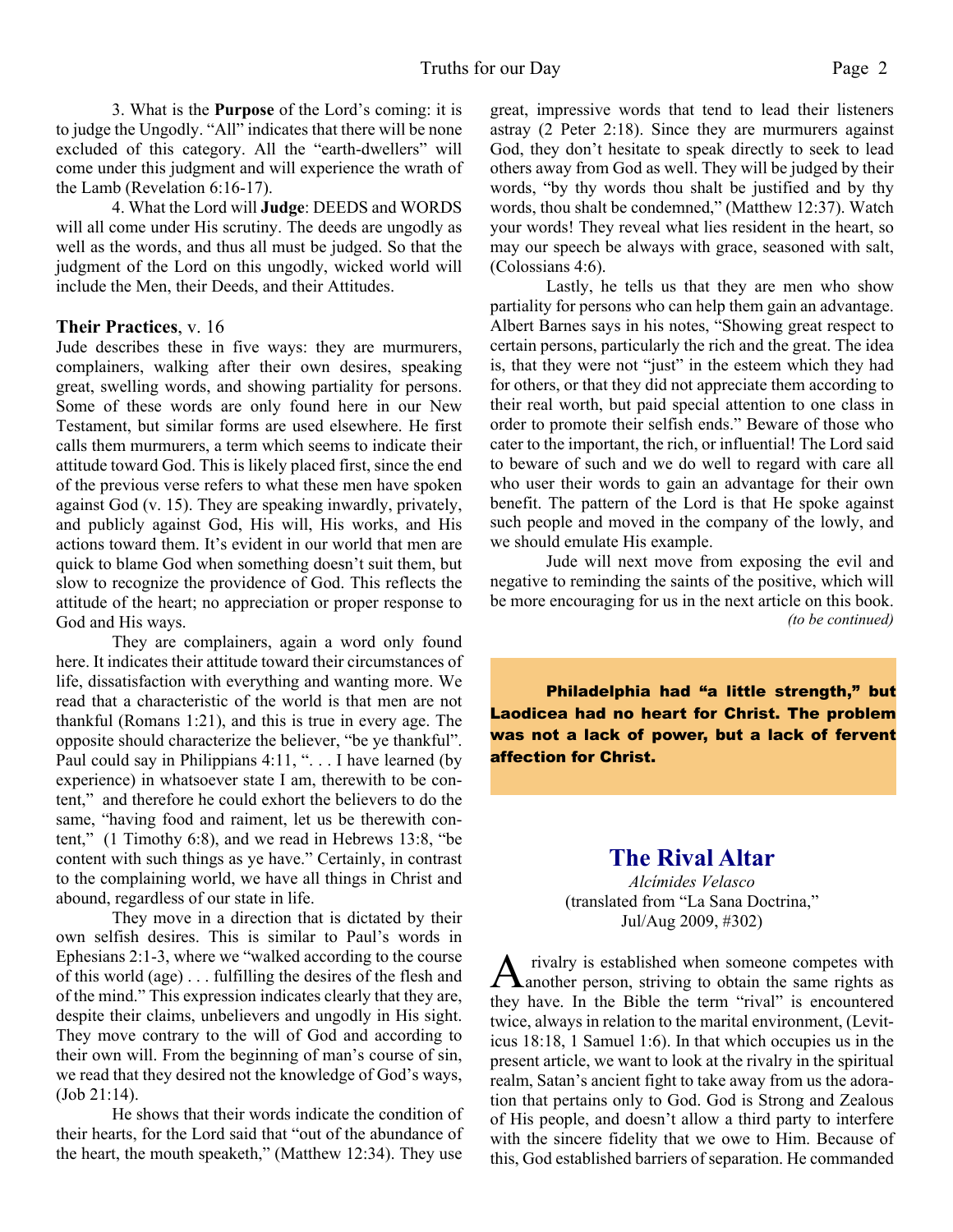3. What is the **Purpose** of the Lord's coming: it is to judge the Ungodly. "All" indicates that there will be none excluded of this category. All the "earth-dwellers" will come under this judgment and will experience the wrath of the Lamb (Revelation 6:16-17).

 4. What the Lord will **Judge**: DEEDS and WORDS will all come under His scrutiny. The deeds are ungodly as well as the words, and thus all must be judged. So that the judgment of the Lord on this ungodly, wicked world will include the Men, their Deeds, and their Attitudes.

#### **Their Practices**, v. 16

Jude describes these in five ways: they are murmurers, complainers, walking after their own desires, speaking great, swelling words, and showing partiality for persons. Some of these words are only found here in our New Testament, but similar forms are used elsewhere. He first calls them murmurers, a term which seems to indicate their attitude toward God. This is likely placed first, since the end of the previous verse refers to what these men have spoken against God (v. 15). They are speaking inwardly, privately, and publicly against God, His will, His works, and His actions toward them. It's evident in our world that men are quick to blame God when something doesn't suit them, but slow to recognize the providence of God. This reflects the attitude of the heart; no appreciation or proper response to God and His ways.

 They are complainers, again a word only found here. It indicates their attitude toward their circumstances of life, dissatisfaction with everything and wanting more. We read that a characteristic of the world is that men are not thankful (Romans 1:21), and this is true in every age. The opposite should characterize the believer, "be ye thankful". Paul could say in Philippians 4:11, "... I have learned (by experience) in whatsoever state I am, therewith to be content," and therefore he could exhort the believers to do the same, "having food and raiment, let us be therewith content," (1 Timothy 6:8), and we read in Hebrews 13:8, "be content with such things as ye have." Certainly, in contrast to the complaining world, we have all things in Christ and abound, regardless of our state in life.

 They move in a direction that is dictated by their own selfish desires. This is similar to Paul's words in Ephesians 2:1-3, where we "walked according to the course of this world (age) . . . fulfilling the desires of the flesh and of the mind." This expression indicates clearly that they are, despite their claims, unbelievers and ungodly in His sight. They move contrary to the will of God and according to their own will. From the beginning of man's course of sin, we read that they desired not the knowledge of God's ways, (Job 21:14).

 He shows that their words indicate the condition of their hearts, for the Lord said that "out of the abundance of the heart, the mouth speaketh," (Matthew 12:34). They use

great, impressive words that tend to lead their listeners astray (2 Peter 2:18). Since they are murmurers against God, they don't hesitate to speak directly to seek to lead others away from God as well. They will be judged by their words, "by thy words thou shalt be justified and by thy words, thou shalt be condemned," (Matthew 12:37). Watch your words! They reveal what lies resident in the heart, so may our speech be always with grace, seasoned with salt, (Colossians 4:6).

 Lastly, he tells us that they are men who show partiality for persons who can help them gain an advantage. Albert Barnes says in his notes, "Showing great respect to certain persons, particularly the rich and the great. The idea is, that they were not "just" in the esteem which they had for others, or that they did not appreciate them according to their real worth, but paid special attention to one class in order to promote their selfish ends." Beware of those who cater to the important, the rich, or influential! The Lord said to beware of such and we do well to regard with care all who user their words to gain an advantage for their own benefit. The pattern of the Lord is that He spoke against such people and moved in the company of the lowly, and we should emulate His example.

 Jude will next move from exposing the evil and negative to reminding the saints of the positive, which will be more encouraging for us in the next article on this book. *(to be continued)*

**Philadelphia had "a little strength," but Laodicea had no heart for Christ. The problem was not a lack of power, but a lack of fervent affection for Christ.**

## **The Rival Altar**

*Alcímides Velasco* (translated from "La Sana Doctrina," Jul/Aug 2009, #302)

A rivalry is established when someone competes with<br>another person, striving to obtain the same rights as rivalry is established when someone competes with they have. In the Bible the term "rival" is encountered twice, always in relation to the marital environment, (Leviticus 18:18, 1 Samuel 1:6). In that which occupies us in the present article, we want to look at the rivalry in the spiritual realm, Satan's ancient fight to take away from us the adoration that pertains only to God. God is Strong and Zealous of His people, and doesn't allow a third party to interfere with the sincere fidelity that we owe to Him. Because of this, God established barriers of separation. He commanded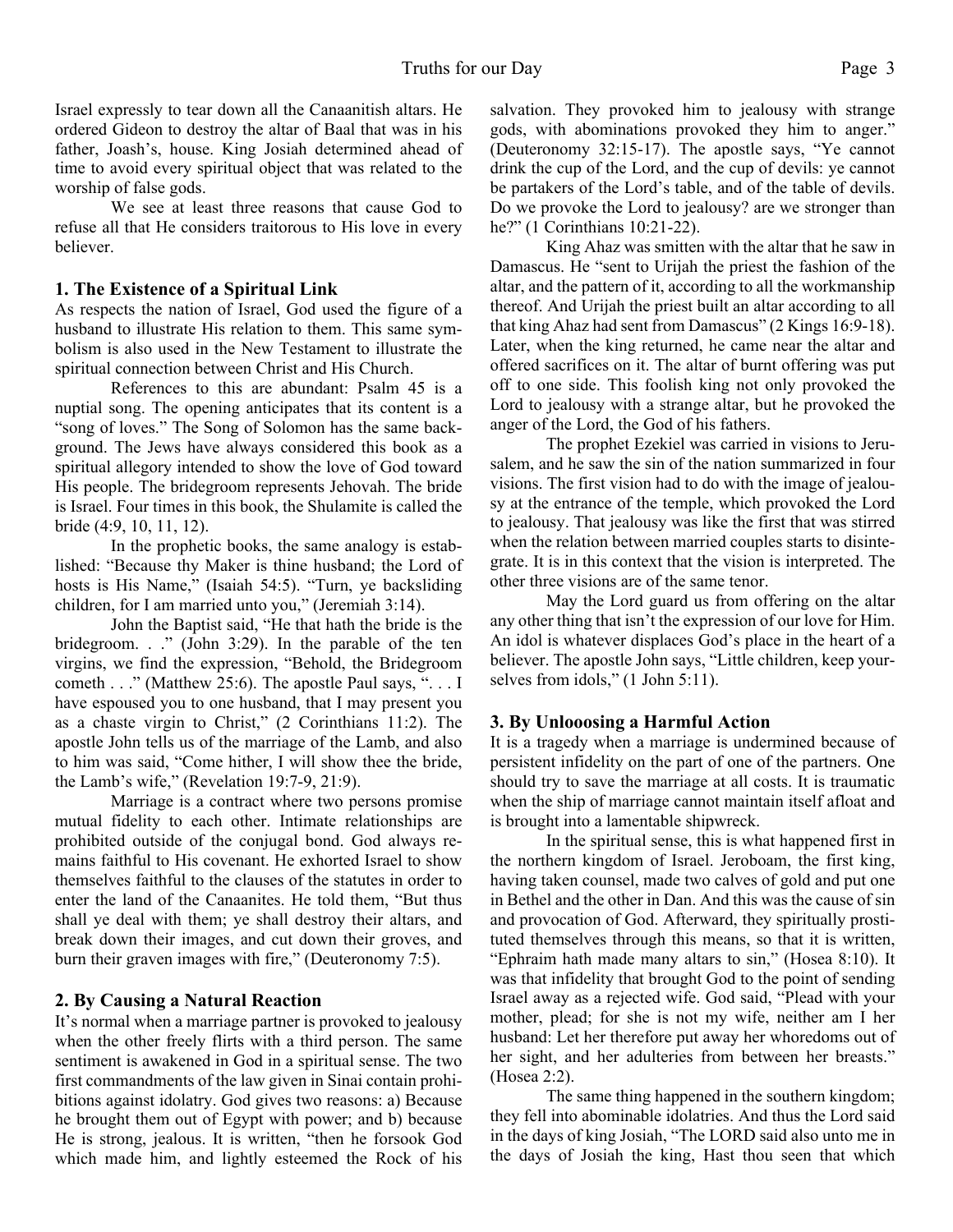Israel expressly to tear down all the Canaanitish altars. He ordered Gideon to destroy the altar of Baal that was in his father, Joash's, house. King Josiah determined ahead of time to avoid every spiritual object that was related to the worship of false gods.

 We see at least three reasons that cause God to refuse all that He considers traitorous to His love in every believer.

#### **1. The Existence of a Spiritual Link**

As respects the nation of Israel, God used the figure of a husband to illustrate His relation to them. This same symbolism is also used in the New Testament to illustrate the spiritual connection between Christ and His Church.

 References to this are abundant: Psalm 45 is a nuptial song. The opening anticipates that its content is a "song of loves." The Song of Solomon has the same background. The Jews have always considered this book as a spiritual allegory intended to show the love of God toward His people. The bridegroom represents Jehovah. The bride is Israel. Four times in this book, the Shulamite is called the bride (4:9, 10, 11, 12).

 In the prophetic books, the same analogy is established: "Because thy Maker is thine husband; the Lord of hosts is His Name," (Isaiah 54:5). "Turn, ye backsliding children, for I am married unto you," (Jeremiah 3:14).

 John the Baptist said, "He that hath the bride is the bridegroom. . ." (John 3:29). In the parable of the ten virgins, we find the expression, "Behold, the Bridegroom cometh . . ." (Matthew 25:6). The apostle Paul says, ". . . I have espoused you to one husband, that I may present you as a chaste virgin to Christ," (2 Corinthians 11:2). The apostle John tells us of the marriage of the Lamb, and also to him was said, "Come hither, I will show thee the bride, the Lamb's wife," (Revelation 19:7-9, 21:9).

 Marriage is a contract where two persons promise mutual fidelity to each other. Intimate relationships are prohibited outside of the conjugal bond. God always remains faithful to His covenant. He exhorted Israel to show themselves faithful to the clauses of the statutes in order to enter the land of the Canaanites. He told them, "But thus shall ye deal with them; ye shall destroy their altars, and break down their images, and cut down their groves, and burn their graven images with fire," (Deuteronomy 7:5).

#### **2. By Causing a Natural Reaction**

It's normal when a marriage partner is provoked to jealousy when the other freely flirts with a third person. The same sentiment is awakened in God in a spiritual sense. The two first commandments of the law given in Sinai contain prohibitions against idolatry. God gives two reasons: a) Because he brought them out of Egypt with power; and b) because He is strong, jealous. It is written, "then he forsook God which made him, and lightly esteemed the Rock of his

salvation. They provoked him to jealousy with strange gods, with abominations provoked they him to anger." (Deuteronomy 32:15-17). The apostle says, "Ye cannot drink the cup of the Lord, and the cup of devils: ye cannot be partakers of the Lord's table, and of the table of devils. Do we provoke the Lord to jealousy? are we stronger than he?" (1 Corinthians 10:21-22).

 King Ahaz was smitten with the altar that he saw in Damascus. He "sent to Urijah the priest the fashion of the altar, and the pattern of it, according to all the workmanship thereof. And Urijah the priest built an altar according to all that king Ahaz had sent from Damascus" (2 Kings 16:9-18). Later, when the king returned, he came near the altar and offered sacrifices on it. The altar of burnt offering was put off to one side. This foolish king not only provoked the Lord to jealousy with a strange altar, but he provoked the anger of the Lord, the God of his fathers.

 The prophet Ezekiel was carried in visions to Jerusalem, and he saw the sin of the nation summarized in four visions. The first vision had to do with the image of jealousy at the entrance of the temple, which provoked the Lord to jealousy. That jealousy was like the first that was stirred when the relation between married couples starts to disintegrate. It is in this context that the vision is interpreted. The other three visions are of the same tenor.

 May the Lord guard us from offering on the altar any other thing that isn't the expression of our love for Him. An idol is whatever displaces God's place in the heart of a believer. The apostle John says, "Little children, keep yourselves from idols," (1 John 5:11).

#### **3. By Unlooosing a Harmful Action**

It is a tragedy when a marriage is undermined because of persistent infidelity on the part of one of the partners. One should try to save the marriage at all costs. It is traumatic when the ship of marriage cannot maintain itself afloat and is brought into a lamentable shipwreck.

 In the spiritual sense, this is what happened first in the northern kingdom of Israel. Jeroboam, the first king, having taken counsel, made two calves of gold and put one in Bethel and the other in Dan. And this was the cause of sin and provocation of God. Afterward, they spiritually prostituted themselves through this means, so that it is written, "Ephraim hath made many altars to sin," (Hosea 8:10). It was that infidelity that brought God to the point of sending Israel away as a rejected wife. God said, "Plead with your mother, plead; for she is not my wife, neither am I her husband: Let her therefore put away her whoredoms out of her sight, and her adulteries from between her breasts." (Hosea 2:2).

 The same thing happened in the southern kingdom; they fell into abominable idolatries. And thus the Lord said in the days of king Josiah, "The LORD said also unto me in the days of Josiah the king, Hast thou seen that which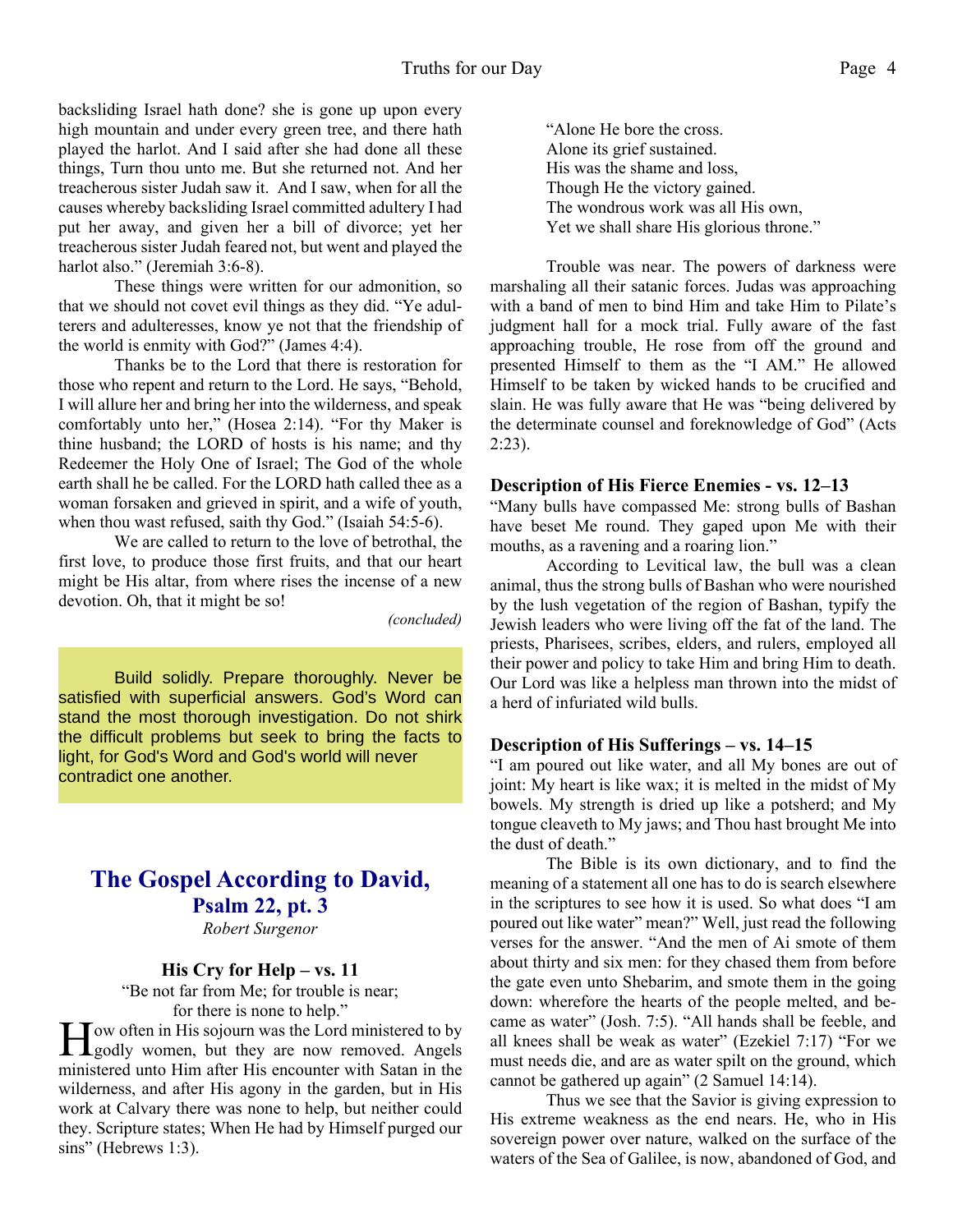backsliding Israel hath done? she is gone up upon every high mountain and under every green tree, and there hath played the harlot. And I said after she had done all these things, Turn thou unto me. But she returned not. And her treacherous sister Judah saw it. And I saw, when for all the causes whereby backsliding Israel committed adultery I had put her away, and given her a bill of divorce; yet her treacherous sister Judah feared not, but went and played the harlot also." (Jeremiah 3:6-8).

 These things were written for our admonition, so that we should not covet evil things as they did. "Ye adulterers and adulteresses, know ye not that the friendship of the world is enmity with God?" (James 4:4).

 Thanks be to the Lord that there is restoration for those who repent and return to the Lord. He says, "Behold, I will allure her and bring her into the wilderness, and speak comfortably unto her," (Hosea 2:14). "For thy Maker is thine husband; the LORD of hosts is his name; and thy Redeemer the Holy One of Israel; The God of the whole earth shall he be called. For the LORD hath called thee as a woman forsaken and grieved in spirit, and a wife of youth, when thou wast refused, saith thy God." (Isaiah 54:5-6).

 We are called to return to the love of betrothal, the first love, to produce those first fruits, and that our heart might be His altar, from where rises the incense of a new devotion. Oh, that it might be so!

*(concluded)*

Build solidly. Prepare thoroughly. Never be satisfied with superficial answers. God's Word can stand the most thorough investigation. Do not shirk the difficult problems but seek to bring the facts to light, for God's Word and God's world will never contradict one another.

## **The Gospel According to David, Psalm 22, pt. 3** *Robert Surgenor*

#### **His Cry for Help – vs. 11**

"Be not far from Me; for trouble is near; for there is none to help."

H ow often in His sojourn was the Lord ministered to by<br>godly women, but they are now removed. Angels Tow often in His sojourn was the Lord ministered to by ministered unto Him after His encounter with Satan in the wilderness, and after His agony in the garden, but in His work at Calvary there was none to help, but neither could they. Scripture states; When He had by Himself purged our sins" (Hebrews 1:3).

 "Alone He bore the cross. Alone its grief sustained. His was the shame and loss, Though He the victory gained. The wondrous work was all His own, Yet we shall share His glorious throne."

 Trouble was near. The powers of darkness were marshaling all their satanic forces. Judas was approaching with a band of men to bind Him and take Him to Pilate's judgment hall for a mock trial. Fully aware of the fast approaching trouble, He rose from off the ground and presented Himself to them as the "I AM." He allowed Himself to be taken by wicked hands to be crucified and slain. He was fully aware that He was "being delivered by the determinate counsel and foreknowledge of God" (Acts 2:23).

#### **Description of His Fierce Enemies - vs. 12–13**

"Many bulls have compassed Me: strong bulls of Bashan have beset Me round. They gaped upon Me with their mouths, as a ravening and a roaring lion."

 According to Levitical law, the bull was a clean animal, thus the strong bulls of Bashan who were nourished by the lush vegetation of the region of Bashan, typify the Jewish leaders who were living off the fat of the land. The priests, Pharisees, scribes, elders, and rulers, employed all their power and policy to take Him and bring Him to death. Our Lord was like a helpless man thrown into the midst of a herd of infuriated wild bulls.

#### **Description of His Sufferings – vs. 14–15**

"I am poured out like water, and all My bones are out of joint: My heart is like wax; it is melted in the midst of My bowels. My strength is dried up like a potsherd; and My tongue cleaveth to My jaws; and Thou hast brought Me into the dust of death."

 The Bible is its own dictionary, and to find the meaning of a statement all one has to do is search elsewhere in the scriptures to see how it is used. So what does "I am poured out like water" mean?" Well, just read the following verses for the answer. "And the men of Ai smote of them about thirty and six men: for they chased them from before the gate even unto Shebarim, and smote them in the going down: wherefore the hearts of the people melted, and became as water" (Josh. 7:5). "All hands shall be feeble, and all knees shall be weak as water" (Ezekiel 7:17) "For we must needs die, and are as water spilt on the ground, which cannot be gathered up again" (2 Samuel 14:14).

 Thus we see that the Savior is giving expression to His extreme weakness as the end nears. He, who in His sovereign power over nature, walked on the surface of the waters of the Sea of Galilee, is now, abandoned of God, and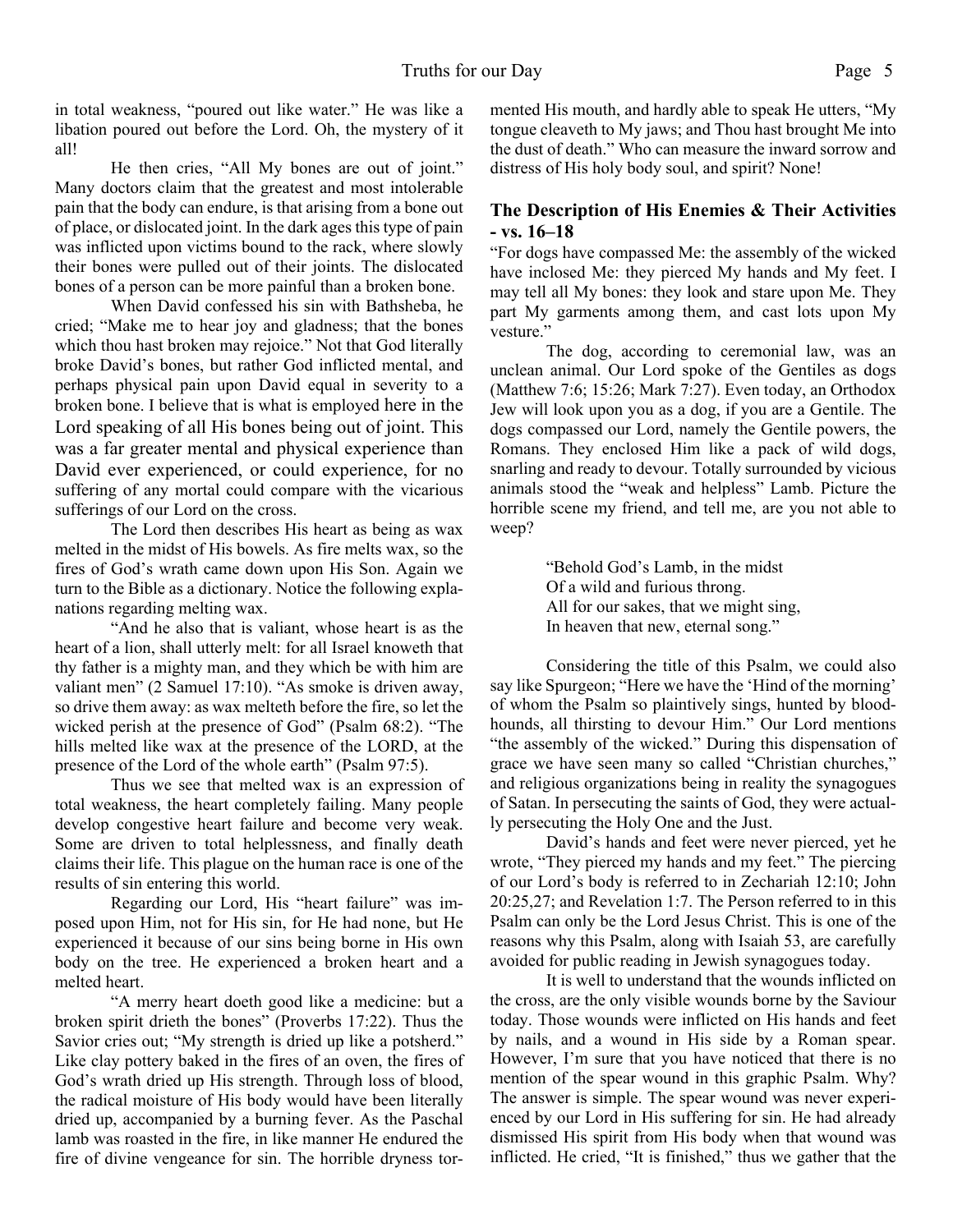in total weakness, "poured out like water." He was like a libation poured out before the Lord. Oh, the mystery of it all!

 He then cries, "All My bones are out of joint." Many doctors claim that the greatest and most intolerable pain that the body can endure, is that arising from a bone out of place, or dislocated joint. In the dark ages this type of pain was inflicted upon victims bound to the rack, where slowly their bones were pulled out of their joints. The dislocated bones of a person can be more painful than a broken bone.

 When David confessed his sin with Bathsheba, he cried; "Make me to hear joy and gladness; that the bones which thou hast broken may rejoice." Not that God literally broke David's bones, but rather God inflicted mental, and perhaps physical pain upon David equal in severity to a broken bone. I believe that is what is employed here in the Lord speaking of all His bones being out of joint. This was a far greater mental and physical experience than David ever experienced, or could experience, for no suffering of any mortal could compare with the vicarious sufferings of our Lord on the cross.

 The Lord then describes His heart as being as wax melted in the midst of His bowels. As fire melts wax, so the fires of God's wrath came down upon His Son. Again we turn to the Bible as a dictionary. Notice the following explanations regarding melting wax.

 "And he also that is valiant, whose heart is as the heart of a lion, shall utterly melt: for all Israel knoweth that thy father is a mighty man, and they which be with him are valiant men" (2 Samuel 17:10). "As smoke is driven away, so drive them away: as wax melteth before the fire, so let the wicked perish at the presence of God" (Psalm 68:2). "The hills melted like wax at the presence of the LORD, at the presence of the Lord of the whole earth" (Psalm 97:5).

 Thus we see that melted wax is an expression of total weakness, the heart completely failing. Many people develop congestive heart failure and become very weak. Some are driven to total helplessness, and finally death claims their life. This plague on the human race is one of the results of sin entering this world.

 Regarding our Lord, His "heart failure" was imposed upon Him, not for His sin, for He had none, but He experienced it because of our sins being borne in His own body on the tree. He experienced a broken heart and a melted heart.

 "A merry heart doeth good like a medicine: but a broken spirit drieth the bones" (Proverbs 17:22). Thus the Savior cries out; "My strength is dried up like a potsherd." Like clay pottery baked in the fires of an oven, the fires of God's wrath dried up His strength. Through loss of blood, the radical moisture of His body would have been literally dried up, accompanied by a burning fever. As the Paschal lamb was roasted in the fire, in like manner He endured the fire of divine vengeance for sin. The horrible dryness tormented His mouth, and hardly able to speak He utters, "My tongue cleaveth to My jaws; and Thou hast brought Me into the dust of death." Who can measure the inward sorrow and distress of His holy body soul, and spirit? None!

### **The Description of His Enemies & Their Activities - vs. 16–18**

"For dogs have compassed Me: the assembly of the wicked have inclosed Me: they pierced My hands and My feet. I may tell all My bones: they look and stare upon Me. They part My garments among them, and cast lots upon My vesture."

 The dog, according to ceremonial law, was an unclean animal. Our Lord spoke of the Gentiles as dogs (Matthew 7:6; 15:26; Mark 7:27). Even today, an Orthodox Jew will look upon you as a dog, if you are a Gentile. The dogs compassed our Lord, namely the Gentile powers, the Romans. They enclosed Him like a pack of wild dogs, snarling and ready to devour. Totally surrounded by vicious animals stood the "weak and helpless" Lamb. Picture the horrible scene my friend, and tell me, are you not able to weep?

> "Behold God's Lamb, in the midst Of a wild and furious throng. All for our sakes, that we might sing, In heaven that new, eternal song."

 Considering the title of this Psalm, we could also say like Spurgeon; "Here we have the 'Hind of the morning' of whom the Psalm so plaintively sings, hunted by bloodhounds, all thirsting to devour Him." Our Lord mentions "the assembly of the wicked." During this dispensation of grace we have seen many so called "Christian churches," and religious organizations being in reality the synagogues of Satan. In persecuting the saints of God, they were actually persecuting the Holy One and the Just.

 David's hands and feet were never pierced, yet he wrote, "They pierced my hands and my feet." The piercing of our Lord's body is referred to in Zechariah 12:10; John 20:25,27; and Revelation 1:7. The Person referred to in this Psalm can only be the Lord Jesus Christ. This is one of the reasons why this Psalm, along with Isaiah 53, are carefully avoided for public reading in Jewish synagogues today.

 It is well to understand that the wounds inflicted on the cross, are the only visible wounds borne by the Saviour today. Those wounds were inflicted on His hands and feet by nails, and a wound in His side by a Roman spear. However, I'm sure that you have noticed that there is no mention of the spear wound in this graphic Psalm. Why? The answer is simple. The spear wound was never experienced by our Lord in His suffering for sin. He had already dismissed His spirit from His body when that wound was inflicted. He cried, "It is finished," thus we gather that the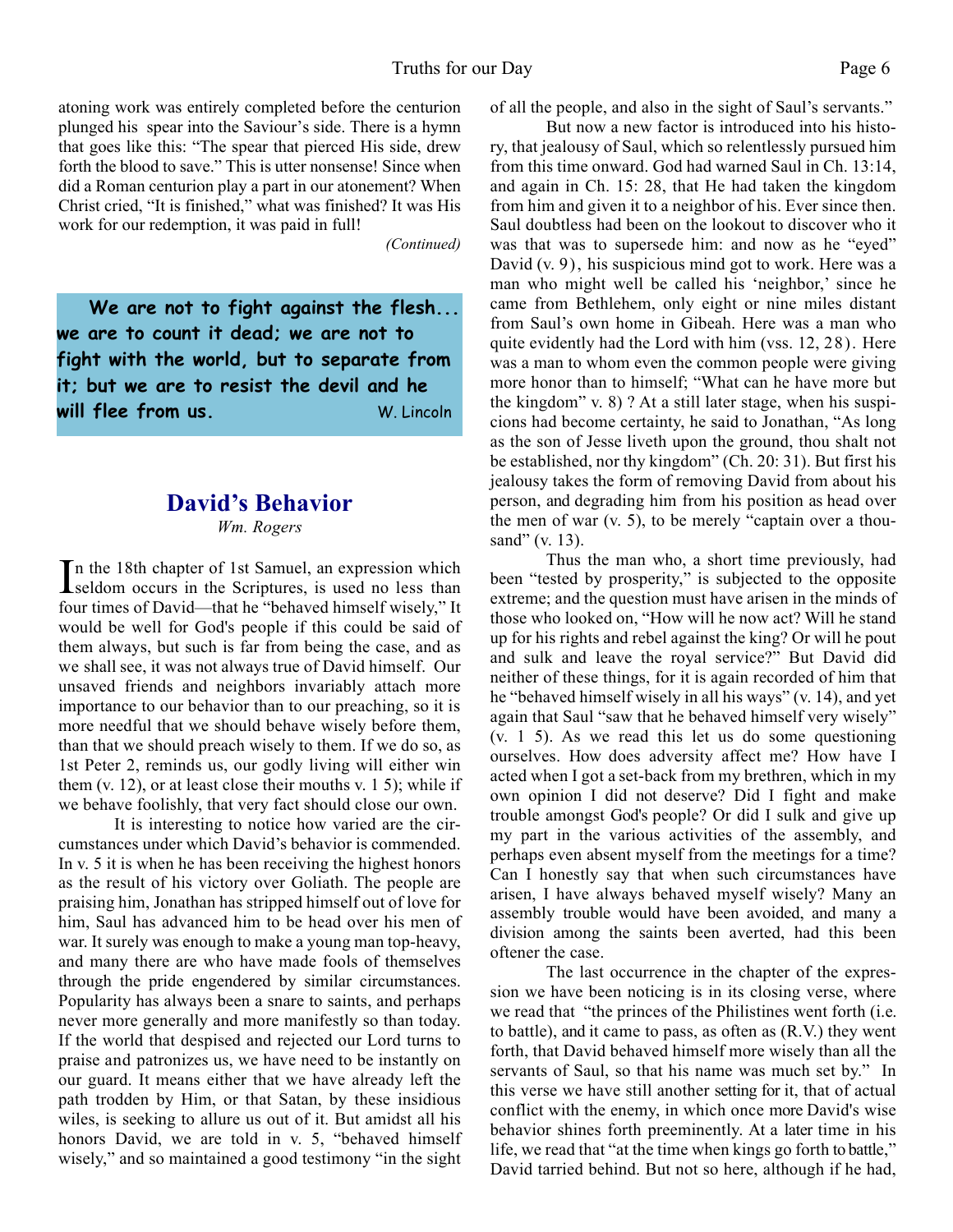atoning work was entirely completed before the centurion plunged his spear into the Saviour's side. There is a hymn that goes like this: "The spear that pierced His side, drew forth the blood to save." This is utter nonsense! Since when did a Roman centurion play a part in our atonement? When Christ cried, "It is finished," what was finished? It was His work for our redemption, it was paid in full!

*(Continued)*

 **We are not to fight against the flesh... we are to count it dead; we are not to fight with the world, but to separate from it; but we are to resist the devil and he will flee from us.** W. Lincoln

## **David's Behavior**

*Wm. Rogers*

In the 18th chapter of 1st Samuel, an expression which<br>seldom occurs in the Scriptures, is used no less than **L**seldom occurs in the Scriptures, is used no less than four times of David—that he "behaved himself wisely," It would be well for God's people if this could be said of them always, but such is far from being the case, and as we shall see, it was not always true of David himself. Our unsaved friends and neighbors invariably attach more importance to our behavior than to our preaching, so it is more needful that we should behave wisely before them, than that we should preach wisely to them. If we do so, as 1st Peter 2, reminds us, our godly living will either win them  $(v. 12)$ , or at least close their mouths v. 1 5); while if we behave foolishly, that very fact should close our own.

 It is interesting to notice how varied are the circumstances under which David's behavior is commended. In v. 5 it is when he has been receiving the highest honors as the result of his victory over Goliath. The people are praising him, Jonathan has stripped himself out of love for him, Saul has advanced him to be head over his men of war. It surely was enough to make a young man top-heavy, and many there are who have made fools of themselves through the pride engendered by similar circumstances. Popularity has always been a snare to saints, and perhaps never more generally and more manifestly so than today. If the world that despised and rejected our Lord turns to praise and patronizes us, we have need to be instantly on our guard. It means either that we have already left the path trodden by Him, or that Satan, by these insidious wiles, is seeking to allure us out of it. But amidst all his honors David, we are told in v. 5, "behaved himself wisely," and so maintained a good testimony "in the sight of all the people, and also in the sight of Saul's servants."

 But now a new factor is introduced into his history, that jealousy of Saul, which so relentlessly pursued him from this time onward. God had warned Saul in Ch. 13:14, and again in Ch. 15: 28, that He had taken the kingdom from him and given it to a neighbor of his. Ever since then. Saul doubtless had been on the lookout to discover who it was that was to supersede him: and now as he "eyed" David (v. 9), his suspicious mind got to work. Here was a man who might well be called his 'neighbor,' since he came from Bethlehem, only eight or nine miles distant from Saul's own home in Gibeah. Here was a man who quite evidently had the Lord with him (vss. 12, 28). Here was a man to whom even the common people were giving more honor than to himself; "What can he have more but the kingdom" v. 8) ? At a still later stage, when his suspicions had become certainty, he said to Jonathan, "As long as the son of Jesse liveth upon the ground, thou shalt not be established, nor thy kingdom" (Ch. 20: 31). But first his jealousy takes the form of removing David from about his person, and degrading him from his position as head over the men of war  $(v, 5)$ , to be merely "captain over a thousand" (v. 13).

Thus the man who, a short time previously, had been "tested by prosperity," is subjected to the opposite extreme; and the question must have arisen in the minds of those who looked on, "How will he now act? Will he stand up for his rights and rebel against the king? Or will he pout and sulk and leave the royal service?" But David did neither of these things, for it is again recorded of him that he "behaved himself wisely in all his ways" (v. 14), and yet again that Saul "saw that he behaved himself very wisely" (v. 1 5). As we read this let us do some questioning ourselves. How does adversity affect me? How have I acted when I got a set-back from my brethren, which in my own opinion I did not deserve? Did I fight and make trouble amongst God's people? Or did I sulk and give up my part in the various activities of the assembly, and perhaps even absent myself from the meetings for a time? Can I honestly say that when such circumstances have arisen, I have always behaved myself wisely? Many an assembly trouble would have been avoided, and many a division among the saints been averted, had this been oftener the case.

 The last occurrence in the chapter of the expression we have been noticing is in its closing verse, where we read that "the princes of the Philistines went forth (i.e. to battle), and it came to pass, as often as (R.V.) they went forth, that David behaved himself more wisely than all the servants of Saul, so that his name was much set by." In this verse we have still another setting for it, that of actual conflict with the enemy, in which once more David's wise behavior shines forth preeminently. At a later time in his life, we read that "at the time when kings go forth to battle," David tarried behind. But not so here, although if he had,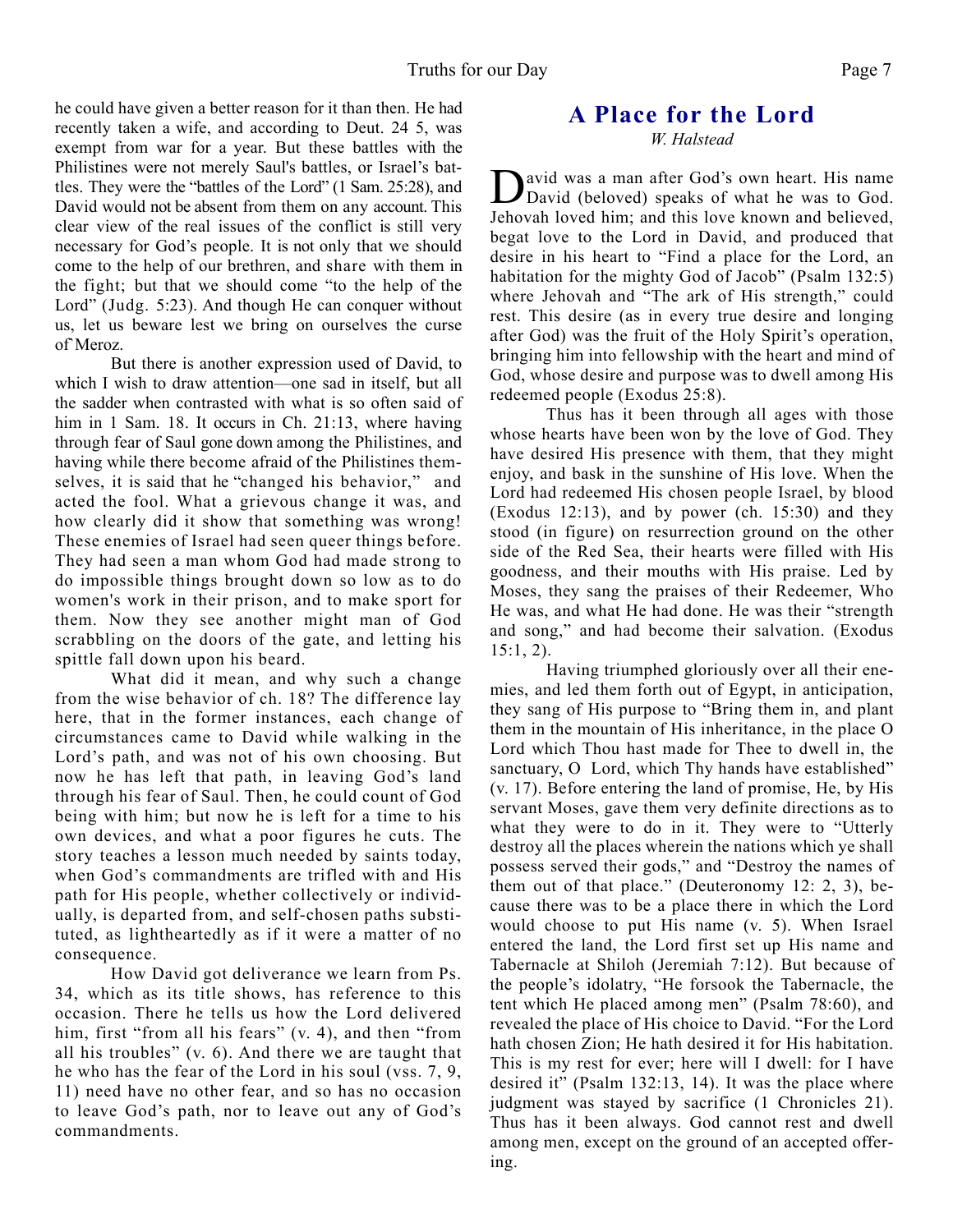he could have given a better reason for it than then. He had recently taken a wife, and according to Deut. 24 5, was exempt from war for a year. But these battles with the Philistines were not merely Saul's battles, or Israel's battles. They were the "battles of the Lord" (1 Sam. 25:28), and David would not be absent from them on any account. This clear view of the real issues of the conflict is still very necessary for God's people. It is not only that we should come to the help of our brethren, and share with them in the fight; but that we should come "to the help of the Lord" (Judg. 5:23). And though He can conquer without us, let us beware lest we bring on ourselves the curse of`Meroz.

 But there is another expression used of David, to which I wish to draw attention—one sad in itself, but all the sadder when contrasted with what is so often said of him in 1 Sam. 18. It occurs in Ch. 21:13, where having through fear of Saul gone down among the Philistines, and having while there become afraid of the Philistines themselves, it is said that he "changed his behavior," and acted the fool. What a grievous change it was, and how clearly did it show that something was wrong! These enemies of Israel had seen queer things before. They had seen a man whom God had made strong to do impossible things brought down so low as to do women's work in their prison, and to make sport for them. Now they see another might man of God scrabbling on the doors of the gate, and letting his spittle fall down upon his beard.

 What did it mean, and why such a change from the wise behavior of ch. 18? The difference lay here, that in the former instances, each change of circumstances came to David while walking in the Lord's path, and was not of his own choosing. But now he has left that path, in leaving God's land through his fear of Saul. Then, he could count of God being with him; but now he is left for a time to his own devices, and what a poor figures he cuts. The story teaches a lesson much needed by saints today, when God's commandments are trifled with and His path for His people, whether collectively or individually, is departed from, and self-chosen paths substituted, as lightheartedly as if it were a matter of no consequence.

 How David got deliverance we learn from Ps. 34, which as its title shows, has reference to this occasion. There he tells us how the Lord delivered him, first "from all his fears" (v. 4), and then "from all his troubles" (v. 6). And there we are taught that he who has the fear of the Lord in his soul (vss. 7, 9, 11) need have no other fear, and so has no occasion to leave God's path, nor to leave out any of God's commandments.

## **A Place for the Lord** *W. Halstead*

David was a man after God's own heart. His name<br>David (beloved) speaks of what he was to God. avid was a man after God's own heart. His name Jehovah loved him; and this love known and believed, begat love to the Lord in David, and produced that desire in his heart to "Find a place for the Lord, an habitation for the mighty God of Jacob" (Psalm 132:5) where Jehovah and "The ark of His strength," could rest. This desire (as in every true desire and longing after God) was the fruit of the Holy Spirit's operation, bringing him into fellowship with the heart and mind of God, whose desire and purpose was to dwell among His redeemed people (Exodus 25:8).

Thus has it been through all ages with those whose hearts have been won by the love of God. They have desired His presence with them, that they might enjoy, and bask in the sunshine of His love. When the Lord had redeemed His chosen people Israel, by blood (Exodus 12:13), and by power (ch. 15:30) and they stood (in figure) on resurrection ground on the other side of the Red Sea, their hearts were filled with His goodness, and their mouths with His praise. Led by Moses, they sang the praises of their Redeemer, Who He was, and what He had done. He was their "strength and song," and had become their salvation. (Exodus 15:1, 2).

Having triumphed gloriously over all their enemies, and led them forth out of Egypt, in anticipation, they sang of His purpose to "Bring them in, and plant them in the mountain of His inheritance, in the place O Lord which Thou hast made for Thee to dwell in, the sanctuary, O Lord, which Thy hands have established" (v. 17). Before entering the land of promise, He, by His servant Moses, gave them very definite directions as to what they were to do in it. They were to "Utterly destroy all the places wherein the nations which ye shall possess served their gods," and "Destroy the names of them out of that place." (Deuteronomy 12: 2, 3), because there was to be a place there in which the Lord would choose to put His name (v. 5). When Israel entered the land, the Lord first set up His name and Tabernacle at Shiloh (Jeremiah 7:12). But because of the people's idolatry, "He forsook the Tabernacle, the tent which He placed among men" (Psalm 78:60), and revealed the place of His choice to David. "For the Lord hath chosen Zion; He hath desired it for His habitation. This is my rest for ever; here will I dwell: for I have desired it" (Psalm 132:13, 14). It was the place where judgment was stayed by sacrifice (1 Chronicles 21). Thus has it been always. God cannot rest and dwell among men, except on the ground of an accepted offering.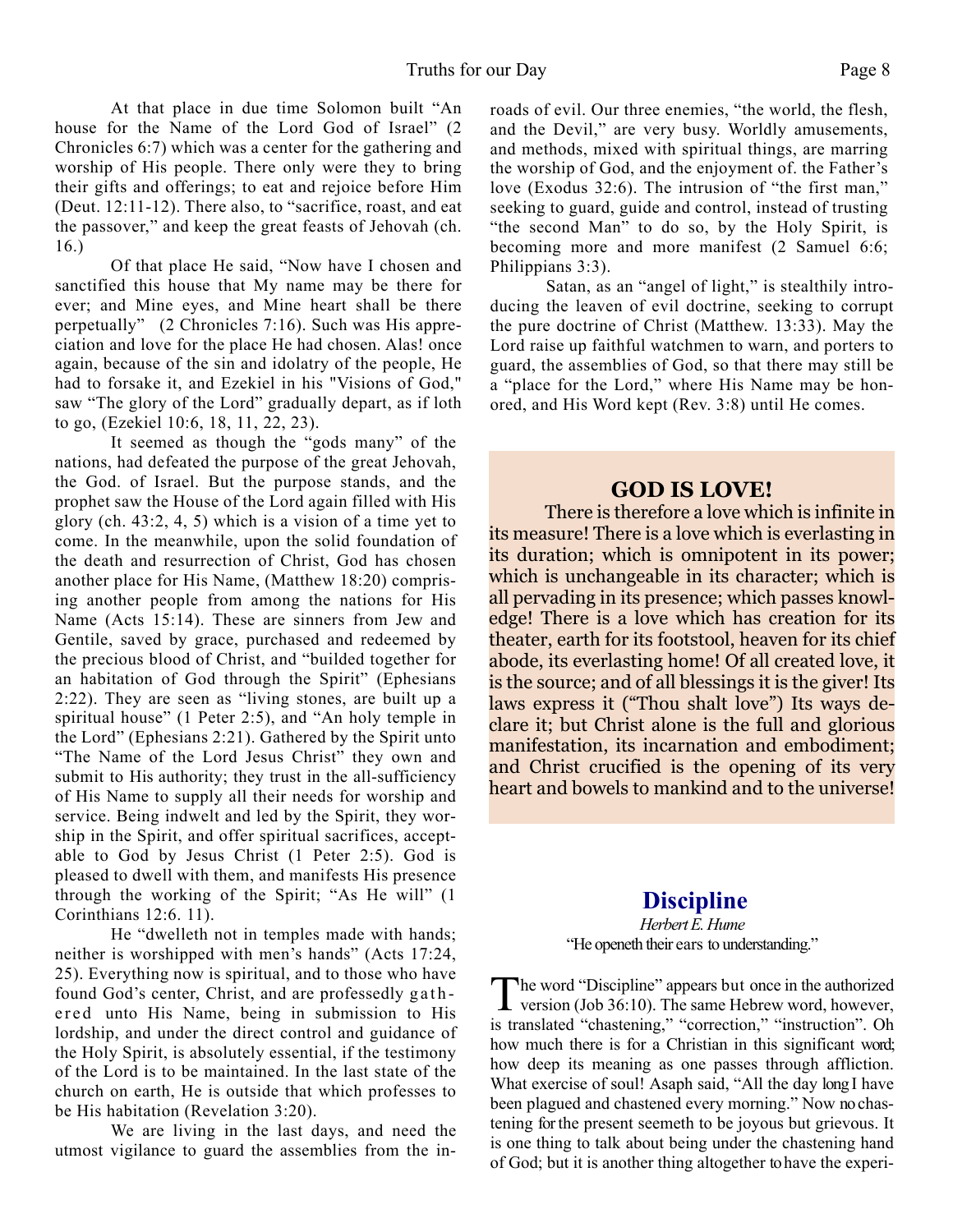At that place in due time Solomon built "An house for the Name of the Lord God of Israel" (2 Chronicles 6:7) which was a center for the gathering and worship of His people. There only were they to bring their gifts and offerings; to eat and rejoice before Him (Deut. 12:11-12). There also, to "sacrifice, roast, and eat the passover," and keep the great feasts of Jehovah (ch. 16.)

Of that place He said, "Now have I chosen and sanctified this house that My name may be there for ever; and Mine eyes, and Mine heart shall be there perpetually" (2 Chronicles 7:16). Such was His appreciation and love for the place He had chosen. Alas! once again, because of the sin and idolatry of the people, He had to forsake it, and Ezekiel in his "Visions of God," saw "The glory of the Lord" gradually depart, as if loth to go, (Ezekiel 10:6, 18, 11, 22, 23).

It seemed as though the "gods many" of the nations, had defeated the purpose of the great Jehovah, the God. of Israel. But the purpose stands, and the prophet saw the House of the Lord again filled with His glory (ch. 43:2, 4, 5) which is a vision of a time yet to come. In the meanwhile, upon the solid foundation of the death and resurrection of Christ, God has chosen another place for His Name, (Matthew 18:20) comprising another people from among the nations for His Name (Acts 15:14). These are sinners from Jew and Gentile, saved by grace, purchased and redeemed by the precious blood of Christ, and "builded together for an habitation of God through the Spirit" (Ephesians 2:22). They are seen as "living stones, are built up a spiritual house" (1 Peter 2:5), and "An holy temple in the Lord" (Ephesians 2:21). Gathered by the Spirit unto "The Name of the Lord Jesus Christ" they own and submit to His authority; they trust in the all-sufficiency of His Name to supply all their needs for worship and service. Being indwelt and led by the Spirit, they worship in the Spirit, and offer spiritual sacrifices, acceptable to God by Jesus Christ (1 Peter 2:5). God is pleased to dwell with them, and manifests His presence through the working of the Spirit; "As He will" (1 Corinthians 12:6. 11).

He "dwelleth not in temples made with hands; neither is worshipped with men's hands" (Acts 17:24, 25). Everything now is spiritual, and to those who have found God's center, Christ, and are professedly gathered unto His Name, being in submission to His lordship, and under the direct control and guidance of the Holy Spirit, is absolutely essential, if the testimony of the Lord is to be maintained. In the last state of the church on earth, He is outside that which professes to be His habitation (Revelation 3:20).

We are living in the last days, and need the utmost vigilance to guard the assemblies from the inroads of evil. Our three enemies, "the world, the flesh, and the Devil," are very busy. Worldly amusements, and methods, mixed with spiritual things, are marring the worship of God, and the enjoyment of. the Father's love (Exodus 32:6). The intrusion of "the first man," seeking to guard, guide and control, instead of trusting "the second Man" to do so, by the Holy Spirit, is becoming more and more manifest (2 Samuel 6:6; Philippians 3:3).

Satan, as an "angel of light," is stealthily introducing the leaven of evil doctrine, seeking to corrupt the pure doctrine of Christ (Matthew. 13:33). May the Lord raise up faithful watchmen to warn, and porters to guard, the assemblies of God, so that there may still be a "place for the Lord," where His Name may be honored, and His Word kept (Rev. 3:8) until He comes.

## **GOD IS LOVE!**

There is therefore a love which is infinite in its measure! There is a love which is everlasting in its duration; which is omnipotent in its power; which is unchangeable in its character; which is all pervading in its presence; which passes knowledge! There is a love which has creation for its theater, earth for its footstool, heaven for its chief abode, its everlasting home! Of all created love, it is the source; and of all blessings it is the giver! Its laws express it ("Thou shalt love") Its ways declare it; but Christ alone is the full and glorious manifestation, its incarnation and embodiment; and Christ crucified is the opening of its very heart and bowels to mankind and to the universe!

## **Discipline**

*Herbert E. Hume* "He openeth their ears to understanding."

The word "Discipline" appears but once in the authorized<br>version (Job 36:10). The same Hebrew word, however, he word "Discipline" appears but once in the authorized is translated "chastening," "correction," "instruction". Oh how much there is for a Christian in this significant word; how deep its meaning as one passes through affliction. What exercise of soul! Asaph said, "All the day long I have been plagued and chastened every morning." Now no chastening for the present seemeth to be joyous but grievous. It is one thing to talk about being under the chastening hand of God; but it is another thing altogether to have the experi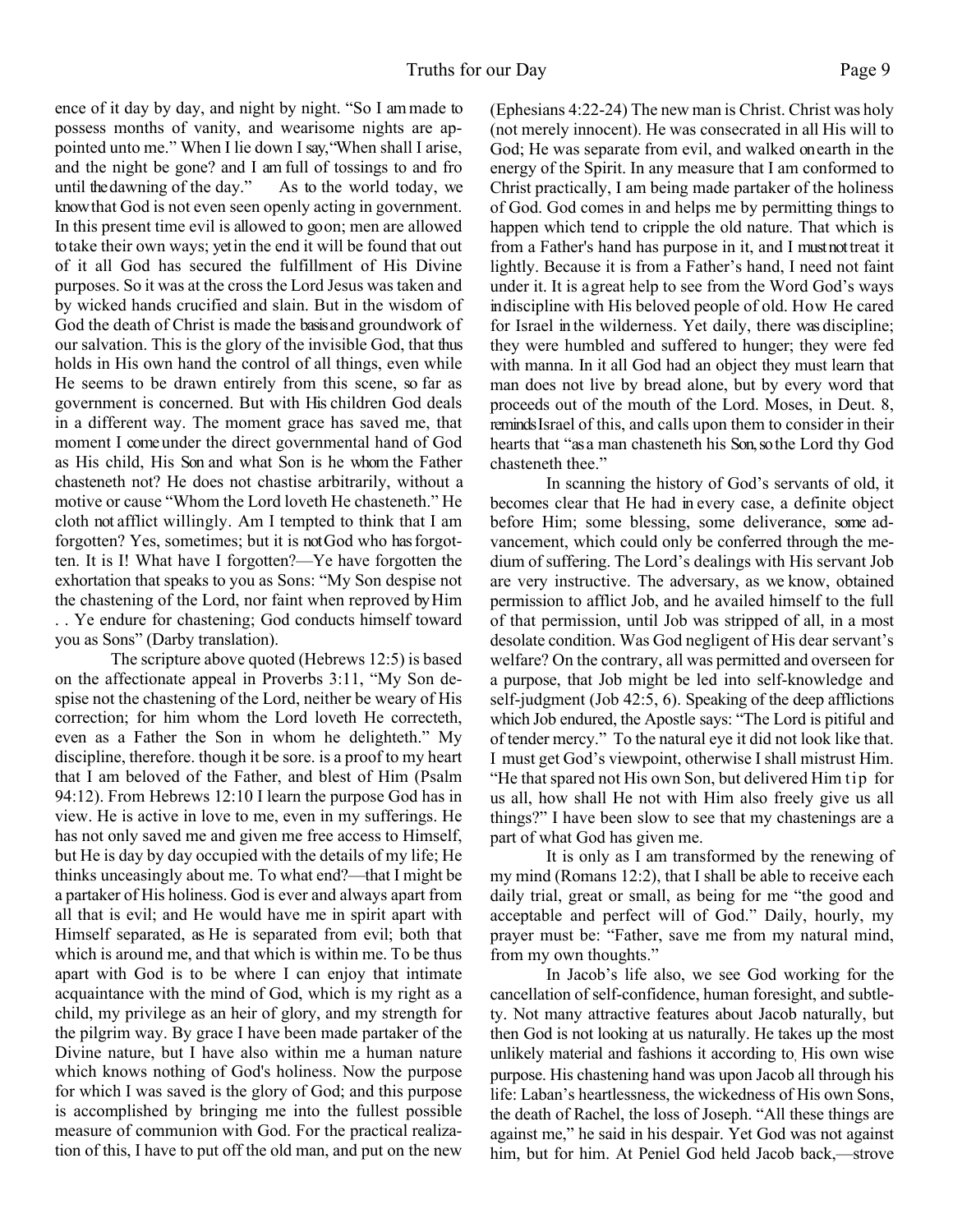ence of it day by day, and night by night. "So I am made to possess months of vanity, and wearisome nights are appointed unto me." When I lie down I say, "When shall I arise, and the night be gone? and I am full of tossings to and fro until the dawning of the day." As to the world today, we know that God is not even seen openly acting in government. In this present time evil is allowed to go on; men are allowed to take their own ways; yet in the end it will be found that out of it all God has secured the fulfillment of His Divine purposes. So it was at the cross the Lord Jesus was taken and by wicked hands crucified and slain. But in the wisdom of God the death of Christ is made the basis and groundwork of our salvation. This is the glory of the invisible God, that thus holds in His own hand the control of all things, even while He seems to be drawn entirely from this scene, so far as government is concerned. But with His children God deals in a different way. The moment grace has saved me, that moment I come under the direct governmental hand of God as His child, His Son and what Son is he whom the Father chasteneth not? He does not chastise arbitrarily, without a motive or cause "Whom the Lord loveth He chasteneth." He cloth not afflict willingly. Am I tempted to think that I am forgotten? Yes, sometimes; but it is not God who has forgotten. It is I! What have I forgotten?—Ye have forgotten the exhortation that speaks to you as Sons: "My Son despise not the chastening of the Lord, nor faint when reproved by Him . . Ye endure for chastening; God conducts himself toward you as Sons" (Darby translation).

 The scripture above quoted (Hebrews 12:5) is based on the affectionate appeal in Proverbs 3:11, "My Son despise not the chastening of the Lord, neither be weary of His correction; for him whom the Lord loveth He correcteth, even as a Father the Son in whom he delighteth." My discipline, therefore. though it be sore. is a proof to my heart that I am beloved of the Father, and blest of Him (Psalm 94:12). From Hebrews 12:10 I learn the purpose God has in view. He is active in love to me, even in my sufferings. He has not only saved me and given me free access to Himself, but He is day by day occupied with the details of my life; He thinks unceasingly about me. To what end?—that I might be a partaker of His holiness. God is ever and always apart from all that is evil; and He would have me in spirit apart with Himself separated, as He is separated from evil; both that which is around me, and that which is within me. To be thus apart with God is to be where I can enjoy that intimate acquaintance with the mind of God, which is my right as a child, my privilege as an heir of glory, and my strength for the pilgrim way. By grace I have been made partaker of the Divine nature, but I have also within me a human nature which knows nothing of God's holiness. Now the purpose for which I was saved is the glory of God; and this purpose is accomplished by bringing me into the fullest possible measure of communion with God. For the practical realization of this, I have to put off the old man, and put on the new

(Ephesians 4:22-24) The new man is Christ. Christ was holy (not merely innocent). He was consecrated in all His will to God; He was separate from evil, and walked on earth in the energy of the Spirit. In any measure that I am conformed to Christ practically, I am being made partaker of the holiness of God. God comes in and helps me by permitting things to happen which tend to cripple the old nature. That which is from a Father's hand has purpose in it, and I must not treat it lightly. Because it is from a Father's hand, I need not faint under it. It is a great help to see from the Word God's ways in discipline with His beloved people of old. How He cared for Israel in the wilderness. Yet daily, there was discipline; they were humbled and suffered to hunger; they were fed with manna. In it all God had an object they must learn that man does not live by bread alone, but by every word that proceeds out of the mouth of the Lord. Moses, in Deut. 8, reminds Israel of this, and calls upon them to consider in their hearts that "as a man chasteneth his Son, so the Lord thy God chasteneth thee."

 In scanning the history of God's servants of old, it becomes clear that He had in every case, a definite object before Him; some blessing, some deliverance, some advancement, which could only be conferred through the medium of suffering. The Lord's dealings with His servant Job are very instructive. The adversary, as we know, obtained permission to afflict Job, and he availed himself to the full of that permission, until Job was stripped of all, in a most desolate condition. Was God negligent of His dear servant's welfare? On the contrary, all was permitted and overseen for a purpose, that Job might be led into self-knowledge and self-judgment (Job 42:5, 6). Speaking of the deep afflictions which Job endured, the Apostle says: "The Lord is pitiful and of tender mercy." To the natural eye it did not look like that. I must get God's viewpoint, otherwise I shall mistrust Him. "He that spared not His own Son, but delivered Him tip for us all, how shall He not with Him also freely give us all things?" I have been slow to see that my chastenings are a part of what God has given me.

 It is only as I am transformed by the renewing of my mind (Romans 12:2), that I shall be able to receive each daily trial, great or small, as being for me "the good and acceptable and perfect will of God." Daily, hourly, my prayer must be: "Father, save me from my natural mind, from my own thoughts."

 In Jacob's life also, we see God working for the cancellation of self-confidence, human foresight, and subtlety. Not many attractive features about Jacob naturally, but then God is not looking at us naturally. He takes up the most unlikely material and fashions it according to, His own wise purpose. His chastening hand was upon Jacob all through his life: Laban's heartlessness, the wickedness of His own Sons, the death of Rachel, the loss of Joseph. "All these things are against me," he said in his despair. Yet God was not against him, but for him. At Peniel God held Jacob back,—strove